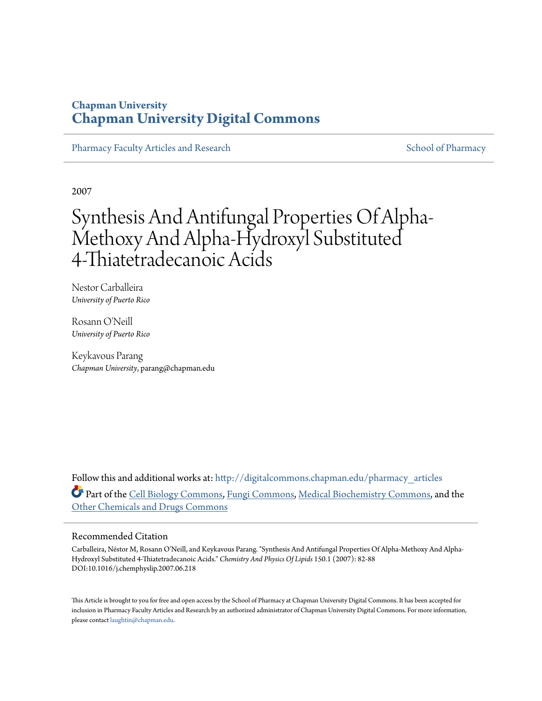# **Chapman University [Chapman University Digital Commons](http://digitalcommons.chapman.edu?utm_source=digitalcommons.chapman.edu%2Fpharmacy_articles%2F83&utm_medium=PDF&utm_campaign=PDFCoverPages)**

[Pharmacy Faculty Articles and Research](http://digitalcommons.chapman.edu/pharmacy_articles?utm_source=digitalcommons.chapman.edu%2Fpharmacy_articles%2F83&utm_medium=PDF&utm_campaign=PDFCoverPages) [School of Pharmacy](http://digitalcommons.chapman.edu/cusp?utm_source=digitalcommons.chapman.edu%2Fpharmacy_articles%2F83&utm_medium=PDF&utm_campaign=PDFCoverPages) Faculty Articles and Research School of Pharmacy

2007

# Synthesis And Antifungal Properties Of Alpha-Methoxy And Alpha-Hydroxyl Substituted 4-Thiatetradecanoic Acids

Nestor Carballeira *University of Puerto Rico*

Rosann O'Neill *University of Puerto Rico*

Keykavous Parang *Chapman University*, parang@chapman.edu

Follow this and additional works at: [http://digitalcommons.chapman.edu/pharmacy\\_articles](http://digitalcommons.chapman.edu/pharmacy_articles?utm_source=digitalcommons.chapman.edu%2Fpharmacy_articles%2F83&utm_medium=PDF&utm_campaign=PDFCoverPages) Part of the [Cell Biology Commons,](http://network.bepress.com/hgg/discipline/10?utm_source=digitalcommons.chapman.edu%2Fpharmacy_articles%2F83&utm_medium=PDF&utm_campaign=PDFCoverPages) [Fungi Commons](http://network.bepress.com/hgg/discipline/962?utm_source=digitalcommons.chapman.edu%2Fpharmacy_articles%2F83&utm_medium=PDF&utm_campaign=PDFCoverPages), [Medical Biochemistry Commons](http://network.bepress.com/hgg/discipline/666?utm_source=digitalcommons.chapman.edu%2Fpharmacy_articles%2F83&utm_medium=PDF&utm_campaign=PDFCoverPages), and the [Other Chemicals and Drugs Commons](http://network.bepress.com/hgg/discipline/951?utm_source=digitalcommons.chapman.edu%2Fpharmacy_articles%2F83&utm_medium=PDF&utm_campaign=PDFCoverPages)

### Recommended Citation

Carballeira, Néstor M, Rosann O'Neill, and Keykavous Parang. "Synthesis And Antifungal Properties Of Alpha-Methoxy And Alpha-Hydroxyl Substituted 4-Thiatetradecanoic Acids." *Chemistry And Physics Of Lipids* 150.1 (2007): 82-88 DOI:10.1016/j.chemphyslip.2007.06.218

This Article is brought to you for free and open access by the School of Pharmacy at Chapman University Digital Commons. It has been accepted for inclusion in Pharmacy Faculty Articles and Research by an authorized administrator of Chapman University Digital Commons. For more information, please contact [laughtin@chapman.edu.](mailto:laughtin@chapman.edu)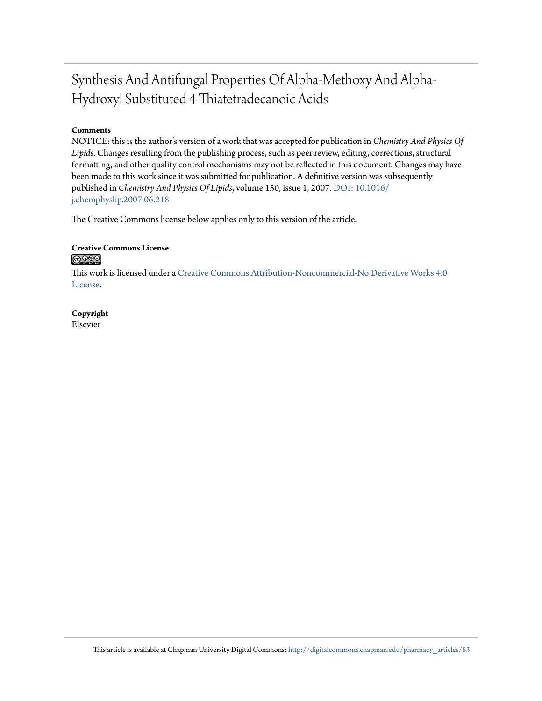# Synthesis And Antifungal Properties Of Alpha-Methoxy And Alpha-Hydroxyl Substituted 4-Thiatetradecanoic Acids

## **Comments**

NOTICE: this is the author's version of a work that was accepted for publication in *Chemistry And Physics Of Lipids*. Changes resulting from the publishing process, such as peer review, editing, corrections, structural formatting, and other quality control mechanisms may not be reflected in this document. Changes may have been made to this work since it was submitted for publication. A definitive version was subsequently published in *Chemistry And Physics Of Lipids*, volume 150, issue 1, 2007. [DOI: 10.1016/](http://dx.doi.org/10.1016/j.chemphyslip.2007.06.218) [j.chemphyslip.2007.06.218](http://dx.doi.org/10.1016/j.chemphyslip.2007.06.218)

The Creative Commons license below applies only to this version of the article.

#### **Creative Commons License** <u>@O®©</u>

This work is licensed under a [Creative Commons Attribution-Noncommercial-No Derivative Works 4.0](http://creativecommons.org/licenses/by-nc-nd/4.0/) [License.](http://creativecommons.org/licenses/by-nc-nd/4.0/)

**Copyright** Elsevier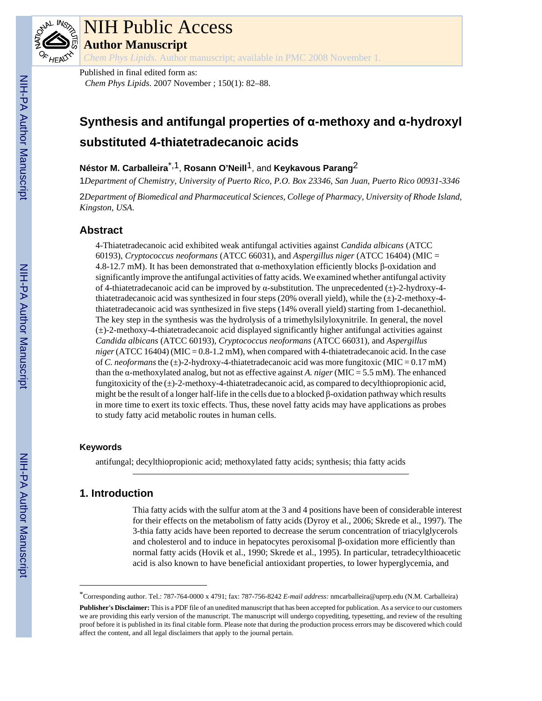

# NIH Public Access

**Author Manuscript**

*Chem Phys Lipids*. Author manuscript; available in PMC 2008 November 1.

Published in final edited form as: *Chem Phys Lipids*. 2007 November ; 150(1): 82–88.

# **Synthesis and antifungal properties of α-methoxy and α-hydroxyl substituted 4-thiatetradecanoic acids**

**Néstor M. Carballeira**\*,1, **Rosann O'Neill**1, and **Keykavous Parang**2

1*Department of Chemistry, University of Puerto Rico, P.O. Box 23346, San Juan, Puerto Rico 00931-3346*

2*Department of Biomedical and Pharmaceutical Sciences, College of Pharmacy, University of Rhode Island, Kingston, USA.*

# **Abstract**

4-Thiatetradecanoic acid exhibited weak antifungal activities against *Candida albicans* (ATCC 60193), *Cryptococcus neoformans* (ATCC 66031), and *Aspergillus niger* (ATCC 16404) (MIC = 4.8-12.7 mM). It has been demonstrated that α-methoxylation efficiently blocks β-oxidation and significantly improve the antifungal activities of fatty acids. We examined whether antifungal activity of 4-thiatetradecanoic acid can be improved by α-substitution. The unprecedented  $(±)$ -2-hydroxy-4thiatetradecanoic acid was synthesized in four steps (20% overall yield), while the  $(\pm)$ -2-methoxy-4thiatetradecanoic acid was synthesized in five steps (14% overall yield) starting from 1-decanethiol. The key step in the synthesis was the hydrolysis of a trimethylsilyloxynitrile. In general, the novel  $(\pm)$ -2-methoxy-4-thiatetradecanoic acid displayed significantly higher antifungal activities against *Candida albicans* (ATCC 60193), *Cryptococcus neoformans* (ATCC 66031), and *Aspergillus*  $niger (ATCC 16404) (MIC = 0.8-1.2$  mM), when compared with 4-thiatetradecanoic acid. In the case of *C. neoformans* the (±)-2-hydroxy-4-thiatetradecanoic acid was more fungitoxic (MIC = 0.17 mM) than the α-methoxylated analog, but not as effective against *A. niger* (MIC = 5.5 mM). The enhanced fungitoxicity of the  $(\pm)$ -2-methoxy-4-thiatetradecanoic acid, as compared to decylthiopropionic acid, might be the result of a longer half-life in the cells due to a blocked  $\beta$ -oxidation pathway which results in more time to exert its toxic effects. Thus, these novel fatty acids may have applications as probes to study fatty acid metabolic routes in human cells.

## **Keywords**

antifungal; decylthiopropionic acid; methoxylated fatty acids; synthesis; thia fatty acids

# **1. Introduction**

Thia fatty acids with the sulfur atom at the 3 and 4 positions have been of considerable interest for their effects on the metabolism of fatty acids (Dyroy et al., 2006; Skrede et al., 1997). The 3-thia fatty acids have been reported to decrease the serum concentration of triacylglycerols and cholesterol and to induce in hepatocytes peroxisomal β-oxidation more efficiently than normal fatty acids (Hovik et al., 1990; Skrede et al., 1995). In particular, tetradecylthioacetic acid is also known to have beneficial antioxidant properties, to lower hyperglycemia, and

<sup>\*</sup>Corresponding author. Tel.: 787-764-0000 x 4791; fax: 787-756-8242 *E-mail address:* nmcarballeira@uprrp.edu (N.M. Carballeira)

**Publisher's Disclaimer:** This is a PDF file of an unedited manuscript that has been accepted for publication. As a service to our customers we are providing this early version of the manuscript. The manuscript will undergo copyediting, typesetting, and review of the resulting proof before it is published in its final citable form. Please note that during the production process errors may be discovered which could affect the content, and all legal disclaimers that apply to the journal pertain.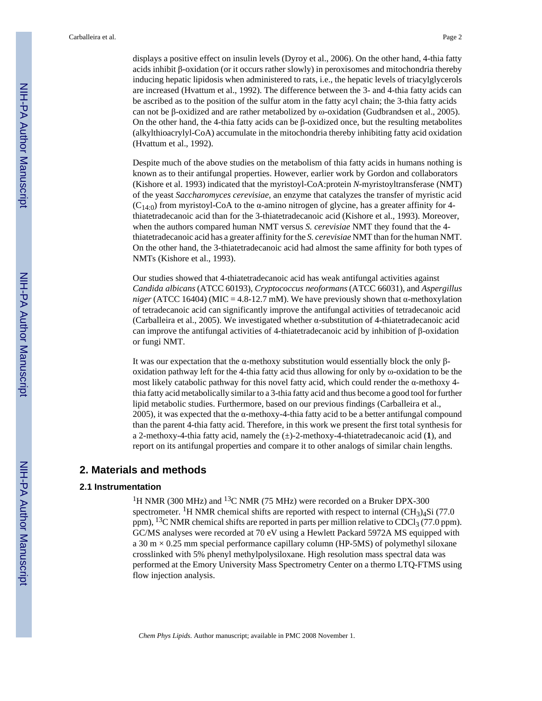displays a positive effect on insulin levels (Dyroy et al., 2006). On the other hand, 4-thia fatty acids inhibit β-oxidation (or it occurs rather slowly) in peroxisomes and mitochondria thereby inducing hepatic lipidosis when administered to rats, i.e., the hepatic levels of triacylglycerols are increased (Hvattum et al., 1992). The difference between the 3- and 4-thia fatty acids can be ascribed as to the position of the sulfur atom in the fatty acyl chain; the 3-thia fatty acids can not be β-oxidized and are rather metabolized by ω-oxidation (Gudbrandsen et al., 2005). On the other hand, the 4-thia fatty acids can be β-oxidized once, but the resulting metabolites (alkylthioacrylyl-CoA) accumulate in the mitochondria thereby inhibiting fatty acid oxidation (Hvattum et al., 1992).

Despite much of the above studies on the metabolism of thia fatty acids in humans nothing is known as to their antifungal properties. However, earlier work by Gordon and collaborators (Kishore et al. 1993) indicated that the myristoyl-CoA:protein *N*-myristoyltransferase (NMT) of the yeast *Saccharomyces cerevisiae*, an enzyme that catalyzes the transfer of myristic acid (C<sub>14:0</sub>) from myristoyl-CoA to the  $\alpha$ -amino nitrogen of glycine, has a greater affinity for 4thiatetradecanoic acid than for the 3-thiatetradecanoic acid (Kishore et al., 1993). Moreover, when the authors compared human NMT versus *S. cerevisiae* NMT they found that the 4 thiatetradecanoic acid has a greater affinity for the *S. cerevisiae* NMT than for the human NMT. On the other hand, the 3-thiatetradecanoic acid had almost the same affinity for both types of NMTs (Kishore et al., 1993).

Our studies showed that 4-thiatetradecanoic acid has weak antifungal activities against *Candida albicans* (ATCC 60193), *Cryptococcus neoformans* (ATCC 66031), and *Aspergillus niger* (ATCC 16404) (MIC = 4.8-12.7 mM). We have previously shown that  $\alpha$ -methoxylation of tetradecanoic acid can significantly improve the antifungal activities of tetradecanoic acid (Carballeira et al., 2005). We investigated whether α-substitution of 4-thiatetradecanoic acid can improve the antifungal activities of 4-thiatetradecanoic acid by inhibition of β-oxidation or fungi NMT.

It was our expectation that the  $\alpha$ -methoxy substitution would essentially block the only  $\beta$ oxidation pathway left for the 4-thia fatty acid thus allowing for only by ω-oxidation to be the most likely catabolic pathway for this novel fatty acid, which could render the  $\alpha$ -methoxy 4thia fatty acid metabolically similar to a 3-thia fatty acid and thus become a good tool for further lipid metabolic studies. Furthermore, based on our previous findings (Carballeira et al., 2005), it was expected that the  $\alpha$ -methoxy-4-thia fatty acid to be a better antifungal compound than the parent 4-thia fatty acid. Therefore, in this work we present the first total synthesis for a 2-methoxy-4-thia fatty acid, namely the (±)-2-methoxy-4-thiatetradecanoic acid (**1**), and report on its antifungal properties and compare it to other analogs of similar chain lengths.

#### **2. Materials and methods**

#### **2.1 Instrumentation**

<sup>1</sup>H NMR (300 MHz) and <sup>13</sup>C NMR (75 MHz) were recorded on a Bruker DPX-300 spectrometer. <sup>1</sup>H NMR chemical shifts are reported with respect to internal  $(CH<sub>3</sub>)<sub>4</sub>Si$  (77.0) ppm),  $^{13}$ C NMR chemical shifts are reported in parts per million relative to CDCl<sub>3</sub> (77.0 ppm). GC/MS analyses were recorded at 70 eV using a Hewlett Packard 5972A MS equipped with a 30 m  $\times$  0.25 mm special performance capillary column (HP-5MS) of polymethyl siloxane crosslinked with 5% phenyl methylpolysiloxane. High resolution mass spectral data was performed at the Emory University Mass Spectrometry Center on a thermo LTQ-FTMS using flow injection analysis.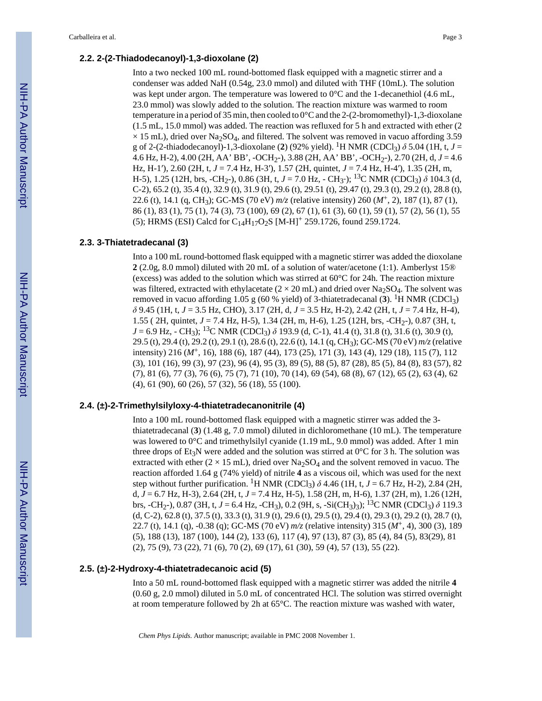#### **2.2. 2-(2-Thiadodecanoyl)-1,3-dioxolane (2)**

Into a two necked 100 mL round-bottomed flask equipped with a magnetic stirrer and a condenser was added NaH (0.54g, 23.0 mmol) and diluted with THF (10mL). The solution was kept under argon. The temperature was lowered to  $0^{\circ}$ C and the 1-decanethiol (4.6 mL, 23.0 mmol) was slowly added to the solution. The reaction mixture was warmed to room temperature in a period of 35 min, then cooled to 0°C and the 2-(2-bromomethyl)-1,3-dioxolane (1.5 mL, 15.0 mmol) was added. The reaction was refluxed for 5 h and extracted with ether (2  $\times$  15 mL), dried over Na<sub>2</sub>SO<sub>4</sub>, and filtered. The solvent was removed in vacuo affording 3.59 g of 2-(2-thiadodecanoyl)-1,3-dioxolane (2) (92% yield). <sup>1</sup>H NMR (CDCl<sub>3</sub>)  $\delta$  5.04 (1H, t, *J* = 4.6 Hz, H-2), 4.00 (2H, AA' BB', -OCH2-), 3.88 (2H, AA' BB', -OCH2-), 2.70 (2H, d, *J* = 4.6 Hz, H-1′), 2.60 (2H, t, *J* = 7.4 Hz, H-3′), 1.57 (2H, quintet, *J* = 7.4 Hz, H-4′), 1.35 (2H, m, H-5), 1.25 (12H, brs, -CH<sub>2</sub>-), 0.86 (3H, t, *J* = 7.0 Hz, - CH<sub>3</sub>-); <sup>13</sup>C NMR (CDCl<sub>3</sub>) *δ* 104.3 (d, C-2), 65.2 (t), 35.4 (t), 32.9 (t), 31.9 (t), 29.6 (t), 29.51 (t), 29.47 (t), 29.3 (t), 29.2 (t), 28.8 (t), 22.6 (t), 14.1 (q, CH3); GC-MS (70 eV) *m/z* (relative intensity) 260 (*M*+, 2), 187 (1), 87 (1), 86 (1), 83 (1), 75 (1), 74 (3), 73 (100), 69 (2), 67 (1), 61 (3), 60 (1), 59 (1), 57 (2), 56 (1), 55 (5); HRMS (ESI) Calcd for  $C_{14}H_{17}O_2S$  [M-H]<sup>+</sup> 259.1726, found 259.1724.

#### **2.3. 3-Thiatetradecanal (3)**

Into a 100 mL round-bottomed flask equipped with a magnetic stirrer was added the dioxolane **2** (2.0g, 8.0 mmol) diluted with 20 mL of a solution of water/acetone (1:1). Amberlyst 15® (excess) was added to the solution which was stirred at  $60^{\circ}$ C for 24h. The reaction mixture was filtered, extracted with ethylacetate ( $2 \times 20$  mL) and dried over Na<sub>2</sub>SO<sub>4</sub>. The solvent was removed in vacuo affording 1.05 g (60 % yield) of 3-thiatetradecanal (3). <sup>1</sup>H NMR (CDCl<sub>3</sub>) *δ* 9.45 (1H, t, *J* = 3.5 Hz, CHO), 3.17 (2H, d, *J* = 3.5 Hz, H-2), 2.42 (2H, t, *J* = 7.4 Hz, H-4), 1.55 ( 2H, quintet, *J* = 7.4 Hz, H-5), 1.34 (2H, m, H-6), 1.25 (12H, brs, -CH<sub>2</sub>-), 0.87 (3H, t,  $J = 6.9$  Hz,  $\text{- CH}_3$ ; <sup>13</sup>C NMR (CDCl<sub>3</sub>)  $\delta$  193.9 (d, C-1), 41.4 (t), 31.8 (t), 31.6 (t), 30.9 (t), 29.5 (t), 29.4 (t), 29.2 (t), 29.1 (t), 28.6 (t), 22.6 (t), 14.1 (q, CH3); GC-MS (70 eV) *m/z* (relative intensity) 216 (*M*+, 16), 188 (6), 187 (44), 173 (25), 171 (3), 143 (4), 129 (18), 115 (7), 112 (3), 101 (16), 99 (3), 97 (23), 96 (4), 95 (3), 89 (5), 88 (5), 87 (28), 85 (5), 84 (8), 83 (57), 82 (7), 81 (6), 77 (3), 76 (6), 75 (7), 71 (10), 70 (14), 69 (54), 68 (8), 67 (12), 65 (2), 63 (4), 62 (4), 61 (90), 60 (26), 57 (32), 56 (18), 55 (100).

#### **2.4. (±)-2-Trimethylsilyloxy-4-thiatetradecanonitrile (4)**

Into a 100 mL round-bottomed flask equipped with a magnetic stirrer was added the 3 thiatetradecanal (**3**) (1.48 g, 7.0 mmol) diluted in dichloromethane (10 mL). The temperature was lowered to  $0^{\circ}$ C and trimethylsilyl cyanide (1.19 mL, 9.0 mmol) was added. After 1 min three drops of Et<sub>3</sub>N were added and the solution was stirred at  $0^{\circ}$ C for 3 h. The solution was extracted with ether  $(2 \times 15 \text{ mL})$ , dried over Na<sub>2</sub>SO<sub>4</sub> and the solvent removed in vacuo. The reaction afforded 1.64 g (74% yield) of nitrile **4** as a viscous oil, which was used for the next step without further purification. <sup>1</sup>H NMR (CDCl<sub>3</sub>)  $\delta$  4.46 (1H, t, *J* = 6.7 Hz, H-2), 2.84 (2H, d, *J* = 6.7 Hz, H-3), 2.64 (2H, t, *J* = 7.4 Hz, H-5), 1.58 (2H, m, H-6), 1.37 (2H, m), 1.26 (12H, brs, -CH2-), 0.87 (3H, t, *J* = 6.4 Hz, -CH3), 0.2 (9H, s, -Si(CH3)3); 13C NMR (CDCl3) *δ* 119.3 (d, C-2), 62.8 (t), 37.5 (t), 33.3 (t), 31.9 (t), 29.6 (t), 29.5 (t), 29.4 (t), 29.3 (t), 29.2 (t), 28.7 (t), 22.7 (t), 14.1 (q), -0.38 (q); GC-MS (70 eV) *m/z* (relative intensity) 315 (*M*+, 4), 300 (3), 189 (5), 188 (13), 187 (100), 144 (2), 133 (6), 117 (4), 97 (13), 87 (3), 85 (4), 84 (5), 83(29), 81 (2), 75 (9), 73 (22), 71 (6), 70 (2), 69 (17), 61 (30), 59 (4), 57 (13), 55 (22).

#### **2.5. (±)-2-Hydroxy-4-thiatetradecanoic acid (5)**

Into a 50 mL round-bottomed flask equipped with a magnetic stirrer was added the nitrile **4** (0.60 g, 2.0 mmol) diluted in 5.0 mL of concentrated HCl. The solution was stirred overnight at room temperature followed by 2h at 65°C. The reaction mixture was washed with water,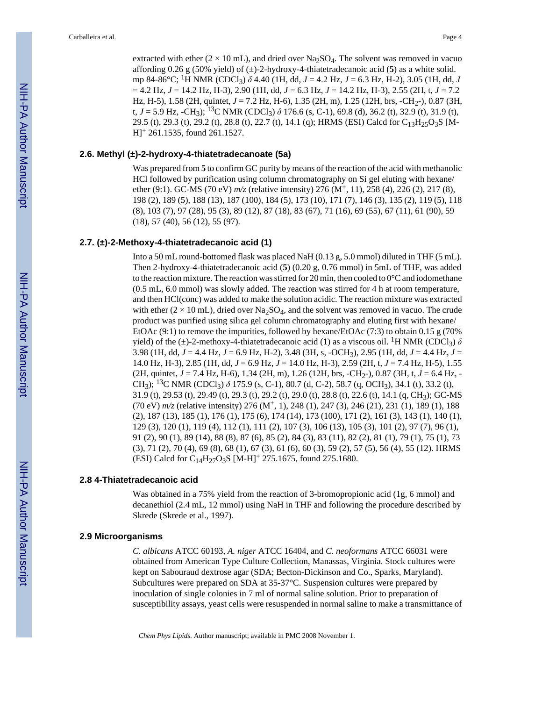extracted with ether ( $2 \times 10$  mL), and dried over Na<sub>2</sub>SO<sub>4</sub>. The solvent was removed in vacuo affording 0.26 g (50% yield) of (±)-2-hydroxy-4-thiatetradecanoic acid (**5**) as a white solid. mp 84-86°C; 1H NMR (CDCl3) *δ* 4.40 (1H, dd, *J* = 4.2 Hz, *J* = 6.3 Hz, H-2), 3.05 (1H, dd, *J* = 4.2 Hz, *J* = 14.2 Hz, H-3), 2.90 (1H, dd, *J* = 6.3 Hz, *J* = 14.2 Hz, H-3), 2.55 (2H, t, *J* = 7.2 Hz, H-5), 1.58 (2H, quintet,  $J = 7.2$  Hz, H-6), 1.35 (2H, m), 1.25 (12H, brs, -CH<sub>2</sub>-), 0.87 (3H, t,  $J = 5.9$  Hz, -CH<sub>3</sub>); <sup>13</sup>C NMR (CDCl<sub>3</sub>)  $\delta$  176.6 (s, C-1), 69.8 (d), 36.2 (t), 32.9 (t), 31.9 (t), 29.5 (t), 29.3 (t), 29.2 (t), 28.8 (t), 22.7 (t), 14.1 (q); HRMS (ESI) Calcd for  $C_{13}H_{25}O_3S$  [M-H]+ 261.1535, found 261.1527.

#### **2.6. Methyl (±)-2-hydroxy-4-thiatetradecanoate (5a)**

Was prepared from **5** to confirm GC purity by means of the reaction of the acid with methanolic HCl followed by purification using column chromatography on Si gel eluting with hexane/ ether (9:1). GC-MS (70 eV)  $m/z$  (relative intensity) 276 (M<sup>+</sup>, 11), 258 (4), 226 (2), 217 (8), 198 (2), 189 (5), 188 (13), 187 (100), 184 (5), 173 (10), 171 (7), 146 (3), 135 (2), 119 (5), 118 (8), 103 (7), 97 (28), 95 (3), 89 (12), 87 (18), 83 (67), 71 (16), 69 (55), 67 (11), 61 (90), 59 (18), 57 (40), 56 (12), 55 (97).

#### **2.7. (±)-2-Methoxy-4-thiatetradecanoic acid (1)**

Into a 50 mL round-bottomed flask was placed NaH (0.13 g, 5.0 mmol) diluted in THF (5 mL). Then 2-hydroxy-4-thiatetradecanoic acid (**5**) (0.20 g, 0.76 mmol) in 5mL of THF, was added to the reaction mixture. The reaction was stirred for 20 min, then cooled to  $0^{\circ}$ C and iodomethane (0.5 mL, 6.0 mmol) was slowly added. The reaction was stirred for 4 h at room temperature, and then HCl(conc) was added to make the solution acidic. The reaction mixture was extracted with ether  $(2 \times 10 \text{ mL})$ , dried over Na<sub>2</sub>SO<sub>4</sub>, and the solvent was removed in vacuo. The crude product was purified using silica gel column chromatography and eluting first with hexane/ EtOAc  $(9:1)$  to remove the impurities, followed by hexane/EtOAc  $(7:3)$  to obtain 0.15 g (70%) yield) of the ( $\pm$ )-2-methoxy-4-thiatetradecanoic acid (1) as a viscous oil. <sup>1</sup>H NMR (CDCl<sub>3</sub>)  $\delta$ 3.98 (1H, dd, *J* = 4.4 Hz, *J* = 6.9 Hz, H-2), 3.48 (3H, s, -OCH3), 2.95 (1H, dd, *J* = 4.4 Hz, *J* = 14.0 Hz, H-3), 2.85 (1H, dd, *J* = 6.9 Hz, *J* = 14.0 Hz, H-3), 2.59 (2H, t, *J* = 7.4 Hz, H-5), 1.55 (2H, quintet, *J* = 7.4 Hz, H-6), 1.34 (2H, m), 1.26 (12H, brs, -CH2-), 0.87 (3H, t, *J* = 6.4 Hz, - CH<sub>3</sub>); <sup>13</sup>C NMR (CDCl<sub>3</sub>) δ 175.9 (s, C-1), 80.7 (d, C-2), 58.7 (q, OCH<sub>3</sub>), 34.1 (t), 33.2 (t), 31.9 (t), 29.53 (t), 29.49 (t), 29.3 (t), 29.2 (t), 29.0 (t), 28.8 (t), 22.6 (t), 14.1 (q, CH3); GC-MS (70 eV) *m/z* (relative intensity) 276 (M+, 1), 248 (1), 247 (3), 246 (21), 231 (1), 189 (1), 188 (2), 187 (13), 185 (1), 176 (1), 175 (6), 174 (14), 173 (100), 171 (2), 161 (3), 143 (1), 140 (1), 129 (3), 120 (1), 119 (4), 112 (1), 111 (2), 107 (3), 106 (13), 105 (3), 101 (2), 97 (7), 96 (1), 91 (2), 90 (1), 89 (14), 88 (8), 87 (6), 85 (2), 84 (3), 83 (11), 82 (2), 81 (1), 79 (1), 75 (1), 73 (3), 71 (2), 70 (4), 69 (8), 68 (1), 67 (3), 61 (6), 60 (3), 59 (2), 57 (5), 56 (4), 55 (12). HRMS (ESI) Calcd for C14H27O3S [M-H]+ 275.1675, found 275.1680.

#### **2.8 4-Thiatetradecanoic acid**

Was obtained in a 75% yield from the reaction of 3-bromopropionic acid (1g, 6 mmol) and decanethiol (2.4 mL, 12 mmol) using NaH in THF and following the procedure described by Skrede (Skrede et al., 1997).

#### **2.9 Microorganisms**

*C. albicans* ATCC 60193, *A. niger* ATCC 16404, and *C. neoformans* ATCC 66031 were obtained from American Type Culture Collection, Manassas, Virginia. Stock cultures were kept on Sabouraud dextrose agar (SDA; Becton-Dickinson and Co., Sparks, Maryland). Subcultures were prepared on SDA at 35-37°C. Suspension cultures were prepared by inoculation of single colonies in 7 ml of normal saline solution. Prior to preparation of susceptibility assays, yeast cells were resuspended in normal saline to make a transmittance of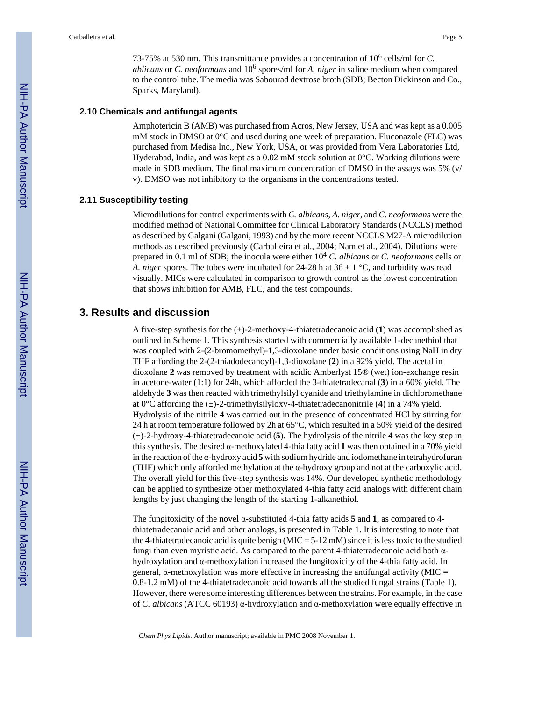73-75% at 530 nm. This transmittance provides a concentration of 10<sup>6</sup> cells/ml for *C.* ablicans or *C. neoformans* and 10<sup>6</sup> spores/ml for *A. niger* in saline medium when compared to the control tube. The media was Sabourad dextrose broth (SDB; Becton Dickinson and Co., Sparks, Maryland).

#### **2.10 Chemicals and antifungal agents**

Amphotericin B (AMB) was purchased from Acros, New Jersey, USA and was kept as a 0.005 mM stock in DMSO at 0°C and used during one week of preparation. Fluconazole (FLC) was purchased from Medisa Inc., New York, USA, or was provided from Vera Laboratories Ltd, Hyderabad, India, and was kept as a 0.02 mM stock solution at 0°C. Working dilutions were made in SDB medium. The final maximum concentration of DMSO in the assays was 5% (v/ v). DMSO was not inhibitory to the organisms in the concentrations tested.

#### **2.11 Susceptibility testing**

Microdilutions for control experiments with *C. albicans*, *A. niger*, and *C. neoformans* were the modified method of National Committee for Clinical Laboratory Standards (NCCLS) method as described by Galgani (Galgani, 1993) and by the more recent NCCLS M27-A microdilution methods as described previously (Carballeira et al., 2004; Nam et al., 2004). Dilutions were prepared in 0.1 ml of SDB; the inocula were either 10<sup>4</sup> *C. albicans* or *C. neoformans* cells or *A. niger* spores. The tubes were incubated for 24-28 h at  $36 \pm 1$  °C, and turbidity was read visually. MICs were calculated in comparison to growth control as the lowest concentration that shows inhibition for AMB, FLC, and the test compounds.

# **3. Results and discussion**

A five-step synthesis for the (±)-2-methoxy-4-thiatetradecanoic acid (**1**) was accomplished as outlined in Scheme 1. This synthesis started with commercially available 1-decanethiol that was coupled with 2-(2-bromomethyl)-1,3-dioxolane under basic conditions using NaH in dry THF affording the 2-(2-thiadodecanoyl)-1,3-dioxolane (**2**) in a 92% yield. The acetal in dioxolane **2** was removed by treatment with acidic Amberlyst 15® (wet) ion-exchange resin in acetone-water (1:1) for 24h, which afforded the 3-thiatetradecanal (**3**) in a 60% yield. The aldehyde **3** was then reacted with trimethylsilyl cyanide and triethylamine in dichloromethane at 0°C affording the (±)-2-trimethylsilyloxy-4-thiatetradecanonitrile (**4**) in a 74% yield. Hydrolysis of the nitrile **4** was carried out in the presence of concentrated HCl by stirring for 24 h at room temperature followed by 2h at 65°C, which resulted in a 50% yield of the desired (±)-2-hydroxy-4-thiatetradecanoic acid (**5**). The hydrolysis of the nitrile **4** was the key step in this synthesis. The desired α-methoxylated 4-thia fatty acid **1** was then obtained in a 70% yield in the reaction of the α-hydroxy acid **5** with sodium hydride and iodomethane in tetrahydrofuran (THF) which only afforded methylation at the α-hydroxy group and not at the carboxylic acid. The overall yield for this five-step synthesis was 14%. Our developed synthetic methodology can be applied to synthesize other methoxylated 4-thia fatty acid analogs with different chain lengths by just changing the length of the starting 1-alkanethiol.

The fungitoxicity of the novel α-substituted 4-thia fatty acids **5** and **1**, as compared to 4 thiatetradecanoic acid and other analogs, is presented in Table 1. It is interesting to note that the 4-thiatetradecanoic acid is quite benign ( $MIC = 5-12$  mM) since it is less toxic to the studied fungi than even myristic acid. As compared to the parent 4-thiatetradecanoic acid both αhydroxylation and α-methoxylation increased the fungitoxicity of the 4-thia fatty acid. In general, α-methoxylation was more effective in increasing the antifungal activity (MIC = 0.8-1.2 mM) of the 4-thiatetradecanoic acid towards all the studied fungal strains (Table 1). However, there were some interesting differences between the strains. For example, in the case of *C. albicans* (ATCC 60193) α-hydroxylation and α-methoxylation were equally effective in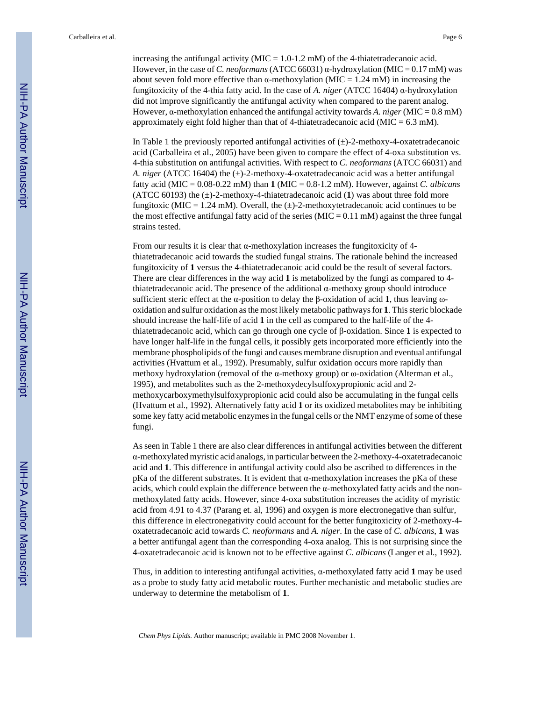increasing the antifungal activity ( $MIC = 1.0{\text -}1.2$  mM) of the 4-thiatetradecanoic acid. However, in the case of *C. neoformans* (ATCC 66031) α-hydroxylation (MIC = 0.17 mM) was about seven fold more effective than  $\alpha$ -methoxylation (MIC = 1.24 mM) in increasing the fungitoxicity of the 4-thia fatty acid. In the case of *A. niger* (ATCC 16404) α-hydroxylation did not improve significantly the antifungal activity when compared to the parent analog. However,  $\alpha$ -methoxylation enhanced the antifungal activity towards *A. niger* (MIC = 0.8 mM) approximately eight fold higher than that of 4-thiatetradecanoic acid ( $MIC = 6.3$  mM).

In Table 1 the previously reported antifungal activities of  $(\pm)$ -2-methoxy-4-oxatetradecanoic acid (Carballeira et al., 2005) have been given to compare the effect of 4-oxa substitution vs. 4-thia substitution on antifungal activities. With respect to *C. neoformans* (ATCC 66031) and *A. niger* (ATCC 16404) the  $(\pm)$ -2-methoxy-4-oxatetradecanoic acid was a better antifungal fatty acid (MIC = 0.08-0.22 mM) than **1** (MIC = 0.8-1.2 mM). However, against *C. albicans* (ATCC 60193) the (±)-2-methoxy-4-thiatetradecanoic acid (**1**) was about three fold more fungitoxic (MIC = 1.24 mM). Overall, the  $(\pm)$ -2-methoxytetradecanoic acid continues to be the most effective antifungal fatty acid of the series ( $MIC = 0.11$  mM) against the three fungal strains tested.

From our results it is clear that  $\alpha$ -methoxylation increases the fungitoxicity of 4thiatetradecanoic acid towards the studied fungal strains. The rationale behind the increased fungitoxicity of **1** versus the 4-thiatetradecanoic acid could be the result of several factors. There are clear differences in the way acid **1** is metabolized by the fungi as compared to 4 thiatetradecanoic acid. The presence of the additional α-methoxy group should introduce sufficient steric effect at the α-position to delay the β-oxidation of acid **1**, thus leaving ωoxidation and sulfur oxidation as the most likely metabolic pathways for **1**. This steric blockade should increase the half-life of acid **1** in the cell as compared to the half-life of the 4 thiatetradecanoic acid, which can go through one cycle of β-oxidation. Since **1** is expected to have longer half-life in the fungal cells, it possibly gets incorporated more efficiently into the membrane phospholipids of the fungi and causes membrane disruption and eventual antifungal activities (Hvattum et al., 1992). Presumably, sulfur oxidation occurs more rapidly than methoxy hydroxylation (removal of the  $\alpha$ -methoxy group) or  $\omega$ -oxidation (Alterman et al., 1995), and metabolites such as the 2-methoxydecylsulfoxypropionic acid and 2 methoxycarboxymethylsulfoxypropionic acid could also be accumulating in the fungal cells (Hvattum et al., 1992). Alternatively fatty acid **1** or its oxidized metabolites may be inhibiting some key fatty acid metabolic enzymes in the fungal cells or the NMT enzyme of some of these fungi.

As seen in Table 1 there are also clear differences in antifungal activities between the different α-methoxylated myristic acid analogs, in particular between the 2-methoxy-4-oxatetradecanoic acid and **1**. This difference in antifungal activity could also be ascribed to differences in the pKa of the different substrates. It is evident that α-methoxylation increases the pKa of these acids, which could explain the difference between the  $\alpha$ -methoxylated fatty acids and the nonmethoxylated fatty acids. However, since 4-oxa substitution increases the acidity of myristic acid from 4.91 to 4.37 (Parang et. al, 1996) and oxygen is more electronegative than sulfur, this difference in electronegativity could account for the better fungitoxicity of 2-methoxy-4 oxatetradecanoic acid towards *C. neoformans* and *A. niger*. In the case of *C. albicans*, **1** was a better antifungal agent than the corresponding 4-oxa analog. This is not surprising since the 4-oxatetradecanoic acid is known not to be effective against *C. albicans* (Langer et al., 1992).

Thus, in addition to interesting antifungal activities, α-methoxylated fatty acid **1** may be used as a probe to study fatty acid metabolic routes. Further mechanistic and metabolic studies are underway to determine the metabolism of **1**.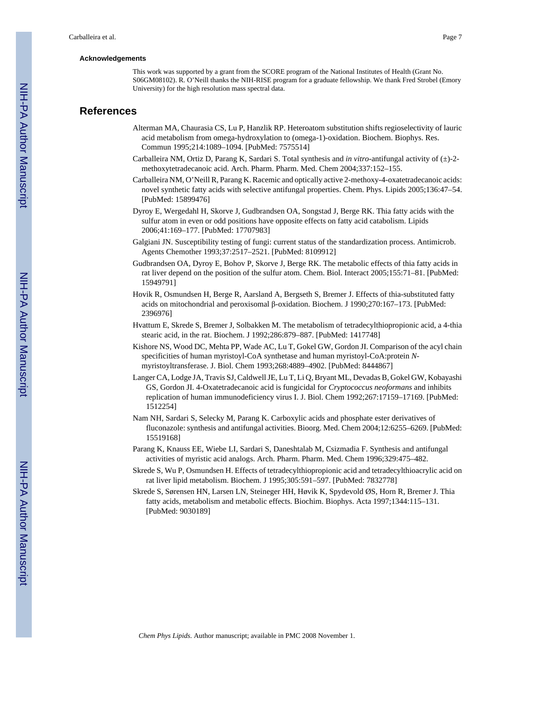#### **Acknowledgements**

This work was supported by a grant from the SCORE program of the National Institutes of Health (Grant No. S06GM08102). R. O'Neill thanks the NIH-RISE program for a graduate fellowship. We thank Fred Strobel (Emory University) for the high resolution mass spectral data.

### **References**

- Alterman MA, Chaurasia CS, Lu P, Hanzlik RP. Heteroatom substitution shifts regioselectivity of lauric acid metabolism from omega-hydroxylation to (omega-1)-oxidation. Biochem. Biophys. Res. Commun 1995;214:1089–1094. [PubMed: 7575514]
- Carballeira NM, Ortiz D, Parang K, Sardari S. Total synthesis and *in vitro*-antifungal activity of (±)-2 methoxytetradecanoic acid. Arch. Pharm. Pharm. Med. Chem 2004;337:152–155.
- Carballeira NM, O'Neill R, Parang K. Racemic and optically active 2-methoxy-4-oxatetradecanoic acids: novel synthetic fatty acids with selective antifungal properties. Chem. Phys. Lipids 2005;136:47–54. [PubMed: 15899476]
- Dyroy E, Wergedahl H, Skorve J, Gudbrandsen OA, Songstad J, Berge RK. Thia fatty acids with the sulfur atom in even or odd positions have opposite effects on fatty acid catabolism. Lipids 2006;41:169–177. [PubMed: 17707983]
- Galgiani JN. Susceptibility testing of fungi: current status of the standardization process. Antimicrob. Agents Chemother 1993;37:2517–2521. [PubMed: 8109912]
- Gudbrandsen OA, Dyroy E, Bohov P, Skorve J, Berge RK. The metabolic effects of thia fatty acids in rat liver depend on the position of the sulfur atom. Chem. Biol. Interact 2005;155:71–81. [PubMed: 15949791]
- Hovik R, Osmundsen H, Berge R, Aarsland A, Bergseth S, Bremer J. Effects of thia-substituted fatty acids on mitochondrial and peroxisomal β-oxidation. Biochem. J 1990;270:167–173. [PubMed: 2396976]
- Hvattum E, Skrede S, Bremer J, Solbakken M. The metabolism of tetradecylthiopropionic acid, a 4-thia stearic acid, in the rat. Biochem. J 1992;286:879–887. [PubMed: 1417748]
- Kishore NS, Wood DC, Mehta PP, Wade AC, Lu T, Gokel GW, Gordon JI. Comparison of the acyl chain specificities of human myristoyl-CoA synthetase and human myristoyl-CoA:protein *N*myristoyltransferase. J. Biol. Chem 1993;268:4889–4902. [PubMed: 8444867]
- Langer CA, Lodge JA, Travis SJ, Caldwell JE, Lu T, Li Q, Bryant ML, Devadas B, Gokel GW, Kobayashi GS, Gordon JI. 4-Oxatetradecanoic acid is fungicidal for *Cryptococcus neoformans* and inhibits replication of human immunodeficiency virus I. J. Biol. Chem 1992;267:17159–17169. [PubMed: 1512254]
- Nam NH, Sardari S, Selecky M, Parang K. Carboxylic acids and phosphate ester derivatives of fluconazole: synthesis and antifungal activities. Bioorg. Med. Chem 2004;12:6255–6269. [PubMed: 15519168]
- Parang K, Knauss EE, Wiebe LI, Sardari S, Daneshtalab M, Csizmadia F. Synthesis and antifungal activities of myristic acid analogs. Arch. Pharm. Pharm. Med. Chem 1996;329:475–482.
- Skrede S, Wu P, Osmundsen H. Effects of tetradecylthiopropionic acid and tetradecylthioacrylic acid on rat liver lipid metabolism. Biochem. J 1995;305:591–597. [PubMed: 7832778]
- Skrede S, Sørensen HN, Larsen LN, Steineger HH, Høvik K, Spydevold ØS, Horn R, Bremer J. Thia fatty acids, metabolism and metabolic effects. Biochim. Biophys. Acta 1997;1344:115–131. [PubMed: 9030189]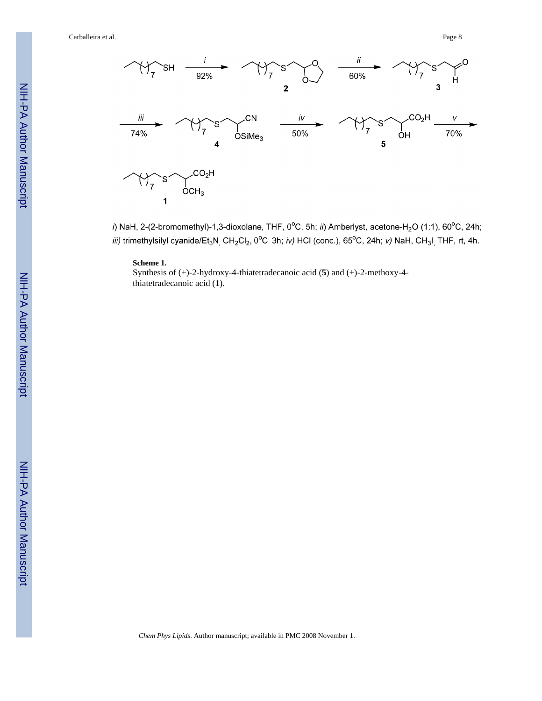Carballeira et al. Page 8



i) NaH, 2-(2-bromomethyl)-1,3-dioxolane, THF, 0°C, 5h; ii) Amberlyst, acetone-H<sub>2</sub>O (1:1), 60°C, 24h; iii) trimethylsilyl cyanide/Et<sub>3</sub>N<sub>,</sub> CH<sub>2</sub>Cl<sub>2</sub>, 0°C<sup>,</sup> 3h; iv) HCl (conc.), 65°C, 24h; v) NaH, CH<sub>3</sub>I<sub>,</sub> THF, rt, 4h.

#### **Scheme 1.**

Synthesis of (±)-2-hydroxy-4-thiatetradecanoic acid ( **5**) and (±)-2-methoxy-4 thiatetradecanoic acid ( **1**).